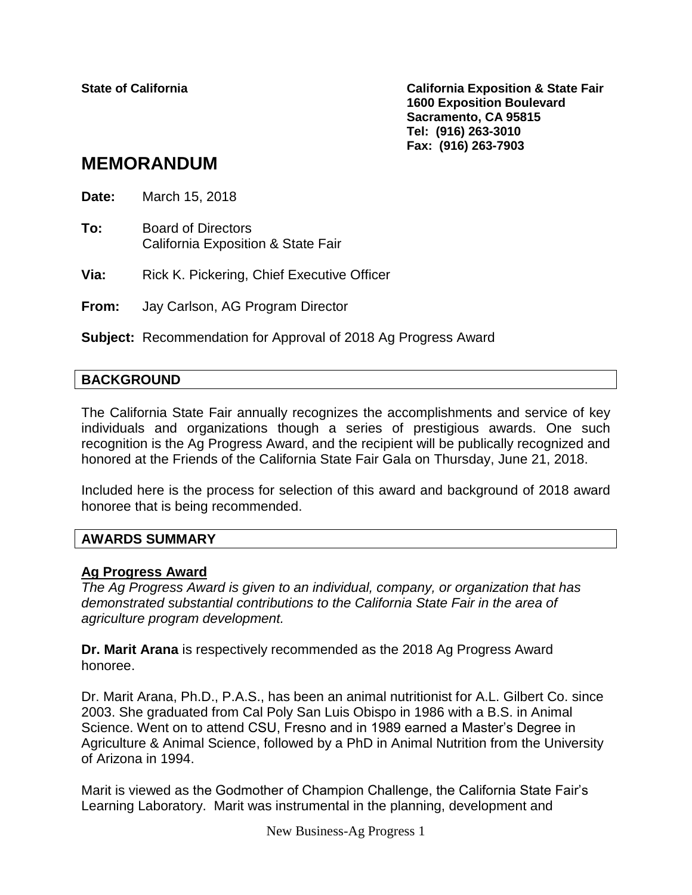**State of California California Exposition & State Fair 1600 Exposition Boulevard Sacramento, CA 95815 Tel: (916) 263-3010 Fax: (916) 263-7903**

# **MEMORANDUM**

**Date:** March 15, 2018 **To:** Board of Directors

California Exposition & State Fair

**Via:** Rick K. Pickering, Chief Executive Officer

**From:** Jay Carlson, AG Program Director

**Subject:** Recommendation for Approval of 2018 Ag Progress Award

## **BACKGROUND**

The California State Fair annually recognizes the accomplishments and service of key individuals and organizations though a series of prestigious awards. One such recognition is the Ag Progress Award, and the recipient will be publically recognized and honored at the Friends of the California State Fair Gala on Thursday, June 21, 2018.

Included here is the process for selection of this award and background of 2018 award honoree that is being recommended.

### **AWARDS SUMMARY**

### **Ag Progress Award**

*The Ag Progress Award is given to an individual, company, or organization that has demonstrated substantial contributions to the California State Fair in the area of agriculture program development.*

**Dr. Marit Arana** is respectively recommended as the 2018 Ag Progress Award honoree.

Dr. Marit Arana, Ph.D., P.A.S., has been an animal nutritionist for A.L. Gilbert Co. since 2003. She graduated from Cal Poly San Luis Obispo in 1986 with a B.S. in Animal Science. Went on to attend CSU, Fresno and in 1989 earned a Master's Degree in Agriculture & Animal Science, followed by a PhD in Animal Nutrition from the University of Arizona in 1994.

Marit is viewed as the Godmother of Champion Challenge, the California State Fair's Learning Laboratory. Marit was instrumental in the planning, development and